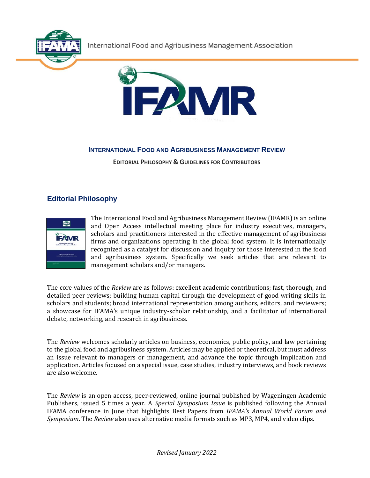International Food and Agribusiness Management Association





# **INTERNATIONAL FOOD AND AGRIBUSINESS MANAGEMENT REVIEW**

**EDITORIAL PHILOSOPHY & GUIDELINES FOR CONTRIBUTORS**

# **Editorial Philosophy**



The International Food and Agribusiness Management Review (IFAMR) is an online and Open Access intellectual meeting place for industry executives, managers, scholars and practitioners interested in the effective management of agribusiness firms and organizations operating in the global food system. It is internationally recognized as a catalyst for discussion and inquiry for those interested in the food and agribusiness system. Specifically we seek articles that are relevant to management scholars and/or managers.

The core values of the *Review* are as follows: excellent academic contributions; fast, thorough, and detailed peer reviews; building human capital through the development of good writing skills in scholars and students; broad international representation among authors, editors, and reviewers; a showcase for IFAMA's unique industry-scholar relationship, and a facilitator of international debate, networking, and research in agribusiness.

The *Review* welcomes scholarly articles on business, economics, public policy, and law pertaining to the global food and agribusiness system. Articles may be applied or theoretical, but must address an issue relevant to managers or management, and advance the topic through implication and application. Articles focused on a special issue, case studies, industry interviews, and book reviews are also welcome.

The *Review* is an open access, peer-reviewed, online journal published by Wageningen Academic Publishers, issued 5 times a year. A *Special Symposium Issue* is published following the Annual IFAMA conference in June that highlights Best Papers from *IFAMA's Annual World Forum and Symposium*. The *Review* also uses alternative media formats such as MP3, MP4, and video clips.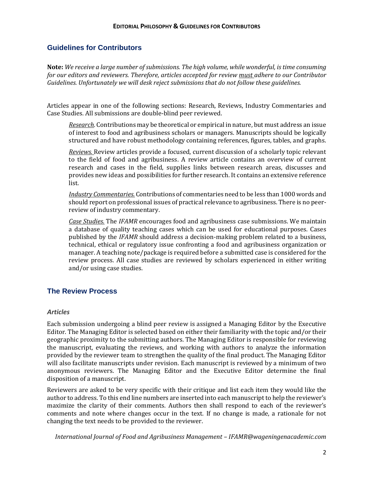## **Guidelines for Contributors**

**Note:** *We receive a large number of submissions. The high volume, while wonderful, is time consuming for our editors and reviewers. Therefore, articles accepted for review must adhere to our Contributor Guidelines. Unfortunately we will desk reject submissions that do not follow these guidelines.*

Articles appear in one of the following sections: Research, Reviews, Industry Commentaries and Case Studies. All submissions are double-blind peer reviewed.

*Research.* Contributions may be theoretical or empirical in nature, but must address an issue of interest to food and agribusiness scholars or managers. Manuscripts should be logically structured and have robust methodology containing references, figures, tables, and graphs.

*Reviews.* Review articles provide a focused, current discussion of a scholarly topic relevant to the field of food and agribusiness. A review article contains an overview of current research and cases in the field, supplies links between research areas, discusses and provides new ideas and possibilities for further research. It contains an extensive reference list.

*Industry Commentaries.* Contributions of commentaries need to be less than 1000 words and should report on professional issues of practical relevance to agribusiness. There is no peerreview of industry commentary.

*Case Studies.* The *IFAMR* encourages food and agribusiness case submissions. We maintain a database of quality teaching cases which can be used for educational purposes. Cases published by the *IFAMR* should address a decision-making problem related to a business, technical, ethical or regulatory issue confronting a food and agribusiness organization or manager. A teaching note/package is required before a submitted case is considered for the review process. All case studies are reviewed by scholars experienced in either writing and/or using case studies.

#### **The Review Process**

#### *Articles*

Each submission undergoing a blind peer review is assigned a Managing Editor by the Executive Editor. The Managing Editor is selected based on either their familiarity with the topic and/or their geographic proximity to the submitting authors. The Managing Editor is responsible for reviewing the manuscript, evaluating the reviews, and working with authors to analyze the information provided by the reviewer team to strengthen the quality of the final product. The Managing Editor will also facilitate manuscripts under revision. Each manuscript is reviewed by a minimum of two anonymous reviewers. The Managing Editor and the Executive Editor determine the final disposition of a manuscript.

Reviewers are asked to be very specific with their critique and list each item they would like the author to address. To this end line numbers are inserted into each manuscript to help the reviewer's maximize the clarity of their comments. Authors then shall respond to each of the reviewer's comments and note where changes occur in the text. If no change is made, a rationale for not changing the text needs to be provided to the reviewer.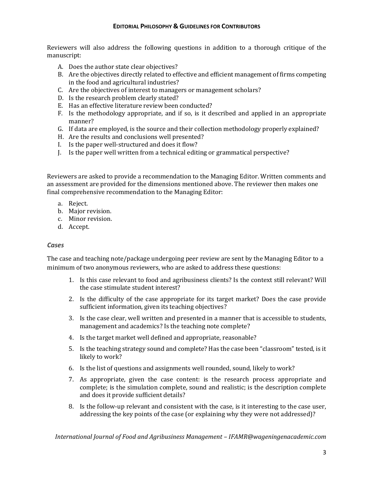Reviewers will also address the following questions in addition to a thorough critique of the manuscript:

- A. Does the author state clear objectives?
- B. Are the objectives directly related to effective and efficient management of firms competing in the food and agricultural industries?
- C. Are the objectives of interest to managers or management scholars?
- D. Is the research problem clearly stated?
- E. Has an effective literature review been conducted?
- F. Is the methodology appropriate, and if so, is it described and applied in an appropriate manner?
- G. If data are employed, is the source and their collection methodology properly explained?
- H. Are the results and conclusions well presented?
- I. Is the paper well-structured and does it flow?
- J. Is the paper well written from a technical editing or grammatical perspective?

Reviewers are asked to provide a recommendation to the Managing Editor. Written comments and an assessment are provided for the dimensions mentioned above. The reviewer then makes one final comprehensive recommendation to the Managing Editor:

- a. Reject.
- b. Major revision.
- c. Minor revision.
- d. Accept.

#### *Cases*

The case and teaching note/package undergoing peer review are sent by the Managing Editor to a minimum of two anonymous reviewers, who are asked to address these questions:

- 1. Is this case relevant to food and agribusiness clients? Is the context still relevant? Will the case stimulate student interest?
- 2. Is the difficulty of the case appropriate for its target market? Does the case provide sufficient information, given its teaching objectives?
- 3. Is the case clear, well written and presented in a manner that is accessible to students, management and academics? Is the teaching note complete?
- 4. Is the target market well defined and appropriate, reasonable?
- 5. Is the teaching strategy sound and complete? Has the case been "classroom" tested, is it likely to work?
- 6. Is the list of questions and assignments well rounded, sound, likely to work?
- 7. As appropriate, given the case content: is the research process appropriate and complete; is the simulation complete, sound and realistic; is the description complete and does it provide sufficient details?
- 8. Is the follow-up relevant and consistent with the case, is it interesting to the case user, addressing the key points of the case (or explaining why they were not addressed)?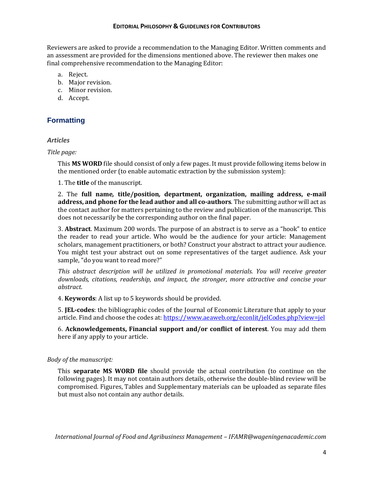Reviewers are asked to provide a recommendation to the Managing Editor. Written comments and an assessment are provided for the dimensions mentioned above. The reviewer then makes one final comprehensive recommendation to the Managing Editor:

- a. Reject.
- b. Major revision.
- c. Minor revision.
- d. Accept.

# **Formatting**

#### *Articles*

#### *Title page:*

This **MS WORD** file should consist of only a few pages. It must provide following items below in the mentioned order (to enable automatic extraction by the submission system):

1. The **title** of the manuscript.

2. The **full name***,* **title/position***,* **department, organization, mailing address, e-mail address, and phone for the lead author and all co-authors**. The submitting author will act as the contact author for matters pertaining to the review and publication of the manuscript. This does not necessarily be the corresponding author on the final paper.

3. **Abstract**. Maximum 200 words. The purpose of an abstract is to serve as a "hook" to entice the reader to read your article. Who would be the audience for your article: Management scholars, management practitioners, or both? Construct your abstract to attract your audience. You might test your abstract out on some representatives of the target audience. Ask your sample, "do you want to read more?"

*This abstract description will be utilized in promotional materials. You will receive greater downloads, citations, readership, and impact, the stronger, more attractive and concise your abstract.*

4. **Keywords**: A list up to 5 keywords should be provided.

5. **JEL-codes**: the bibliographic codes of the Journal of Economic Literature that apply to your article. Find and choose the codes at[: https://www.aeaweb.org/econlit/jelCodes.php?view=jel](https://www.aeaweb.org/econlit/jelCodes.php?view=jel)

6. **Acknowledgements, Financial support and/or conflict of interest**. You may add them here if any apply to your article.

#### *Body of the manuscript:*

This **separate MS WORD file** should provide the actual contribution (to continue on the following pages). It may not contain authors details, otherwise the double-blind review will be compromised. Figures, Tables and Supplementary materials can be uploaded as separate files but must also not contain any author details.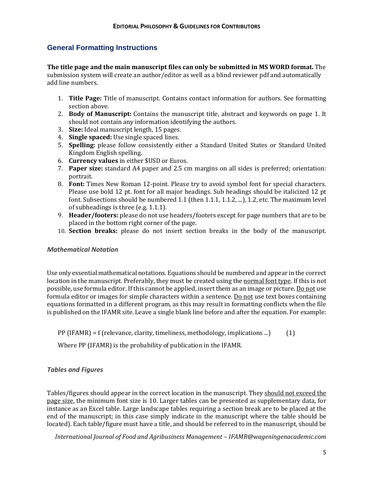# **General Formatting Instructions**

**The title page and the main manuscript files can only be submitted in MS WORD format.** The submission system will create an author/editor as well as a blind reviewer pdf and automatically add line numbers.

- 1. **Title Page:** Title of manuscript. Contains contact information for authors. See formatting section above.
- 2. **Body of Manuscript:** Contains the manuscript title, abstract and keywords on page 1. It should not contain any information identifying the authors.
- 3. **Size:** Ideal manuscript length, 15 pages.
- 4. **Single spaced:** Use single spaced lines.
- 5. **Spelling:** please follow consistently either a Standard United States or Standard United Kingdom English spelling.
- 6. **Currency values** in either \$USD or Euros.
- 7. **Paper size:** standard A4 paper and 2.5 cm margins on all sides is preferred; orientation: portrait.
- 8. **Font:** Times New Roman 12-point. Please try to avoid symbol font for special characters. Please use bold 12 pt. font for all major headings. Sub headings should be italicized 12 pt font. Subsections should be numbered 1.1 (then 1.1.1, 1.1.2, ...), 1.2, etc. The maximum level of subheadings is three (e.g. 1.1.1).
- 9. **Header/footers:** please do not use headers/footers except for page numbers that are to be placed in the bottom right corner of the page.
- 10. **Section breaks:** please do not insert section breaks in the body of the manuscript.

#### *Mathematical Notation*

Use only essential mathematical notations. Equations should be numbered and appear in the correct location in the manuscript. Preferably, they must be created using the normal font type. If this is not possible, use formula editor. If this cannot be applied, insert them as an image or picture. Do not use formula editor or images for simple characters within a sentence. Do not use text boxes containing equations formatted in a different program, as this may result in formatting conflicts when the file is published on the IFAMR site. Leave a single blank line before and after the equation. For example:

PP (IFAMR) = f (relevance, clarity, timeliness, methodology, implications ...)  $(1)$ 

Where PP (IFAMR) is the probability of publication in the IFAMR.

#### *Tables and Figures*

Tables/figures should appear in the correct location in the manuscript. They should not exceed the page size, the minimum font size is 10. Larger tables can be presented as supplementary data, for instance as an Excel table. Large landscape tables requiring a section break are to be placed at the end of the manuscript; in this case simply indicate in the manuscript where the table should be located). Each table/figure must have a title, and should be referred to in the manuscript, should be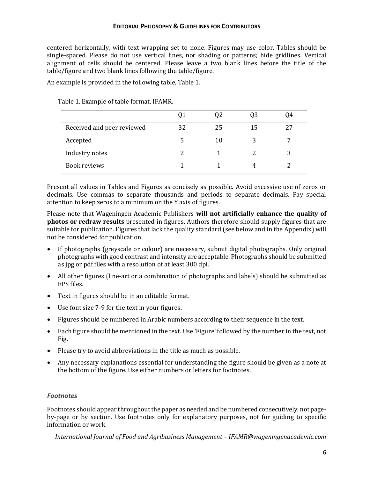#### **EDITORIAL PHILOSOPHY & GUIDELINES FOR CONTRIBUTORS**

centered horizontally, with text wrapping set to none. Figures may use color. Tables should be single-spaced. Please do not use vertical lines, nor shading or patterns; hide gridlines. Vertical alignment of cells should be centered. Please leave a two blank lines before the title of the table/figure and two blank lines following the table/figure.

An example is provided in the following table, Table 1.

|                            | ŲI |    | Q3 | 94 |
|----------------------------|----|----|----|----|
| Received and peer reviewed | 32 | 25 | 15 |    |
| Accepted                   | 5  | 10 | 3  |    |
| Industry notes             | 2  |    |    |    |
| Book reviews               |    |    | 4  |    |

Table 1. Example of table format, IFAMR.

Present all values in Tables and Figures as concisely as possible. Avoid excessive use of zeros or decimals. Use commas to separate thousands and periods to separate decimals. Pay special attention to keep zeros to a minimum on the Y axis of figures.

Please note that Wageningen Academic Publishers **will not artificially enhance the quality of photos or redraw results** presented in figures. Authors therefore should supply figures that are suitable for publication. Figures that lack the quality standard (see below and in the Appendix) will not be considered for publication.

- If photographs (greyscale or colour) are necessary, submit digital photographs. Only original photographs with good contrast and intensity are acceptable. Photographs should be submitted as jpg or pdf files with a resolution of at least 300 dpi.
- All other figures (line-art or a combination of photographs and labels) should be submitted as EPS files.
- Text in figures should be in an editable format.
- Use font size 7-9 for the text in your figures.
- Figures should be numbered in Arabic numbers according to their sequence in the text.
- Each figure should be mentioned in the text. Use 'Figure' followed by the number in the text, not Fig.
- Please try to avoid abbreviations in the title as much as possible.
- Any necessary explanations essential for understanding the figure should be given as a note at the bottom of the figure. Use either numbers or letters for footnotes.

#### *Footnotes*

Footnotes should appear throughout the paper as needed and be numbered consecutively, not pageby-page or by section. Use footnotes only for explanatory purposes, not for guiding to specific information or work.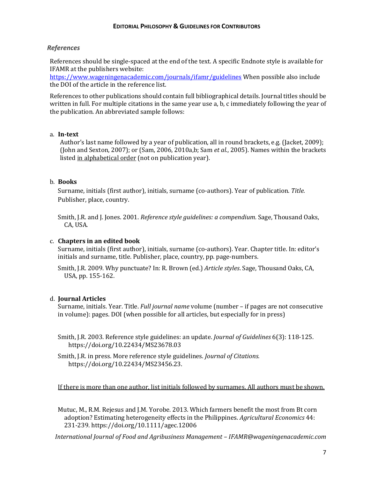#### *References*

References should be single-spaced at the end of the text. A specific Endnote style is available for IFAMR at the publishers website:

<https://www.wageningenacademic.com/journals/ifamr/guidelines> When possible also include the DOI of the article in the reference list.

References to other publications should contain full bibliographical details. Journal titles should be written in full. For multiple citations in the same year use a, b, c immediately following the year of the publication. An abbreviated sample follows:

#### a. **In-text**

Author's last name followed by a year of publication, all in round brackets, e.g. (Jacket, 2009); (John and Sexton, 2007); or (Sam, 2006, 2010a,b; Sam *et al*., 2005). Names within the brackets listed in alphabetical order (not on publication year).

#### b. **Books**

Surname, initials (first author), initials, surname (co-authors). Year of publication. *Title.* Publisher, place, country.

Smith, J.R. and J. Jones. 2001. *Reference style guidelines: a compendium.* Sage, Thousand Oaks, CA, USA.

#### c. **Chapters in an edited book**

Surname, initials (first author), initials, surname (co-authors). Year. Chapter title. In: editor's initials and surname, title. Publisher, place, country, pp. page-numbers.

Smith, J.R. 2009. Why punctuate? In: R. Brown (ed.) *Article styles*. Sage, Thousand Oaks, CA, USA, pp. 155-162.

#### d. **Journal Articles**

Surname, initials. Year. Title. *Full journal name* volume (number – if pages are not consecutive in volume): pages. DOI (when possible for all articles, but especially for in press)

Smith, J.R. 2003. Reference style guidelines: an update. *Journal of Guidelines* 6(3): 118-125. https://doi.org/10.22434/MS23678.03

Smith, J.R. in press. More reference style guidelines. *Journal of Citations.*  https://doi.org/10.22434/MS23456.23.

If there is more than one author, list initials followed by surnames. All authors must be shown.

Mutuc, M., R.M. Rejesus and J.M. Yorobe. 2013. Which farmers benefit the most from Bt corn adoption? Estimating heterogeneity effects in the Philippines. *Agricultural Economics* 44: 231-239. https://doi.org/10.1111/agec.12006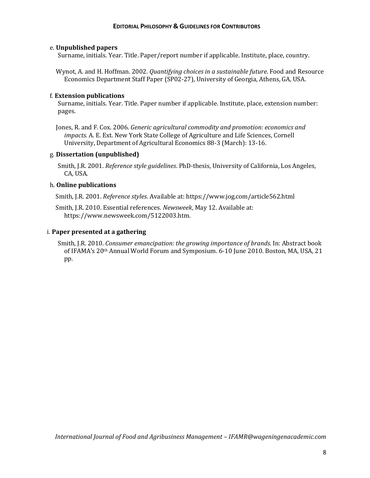#### e. **Unpublished papers**

Surname, initials. Year. Title. Paper/report number if applicable. Institute, place, country.

Wynot, A. and H. Hoffman. 2002. *Quantifying choices in a sustainable future*. Food and Resource Economics Department Staff Paper (SP02-27), University of Georgia, Athens, GA, USA.

#### f. **Extension publications**

Surname, initials. Year. Title. Paper number if applicable. Institute, place, extension number: pages.

Jones, R. and F. Cox. 2006. *Generic agricultural commodity and promotion: economics and impacts.* A. E. Ext. New York State College of Agriculture and Life Sciences, Cornell University, Department of Agricultural Economics 88-3 (March): 13-16.

#### g. **Dissertation (unpublished)**

Smith, J.R. 2001. *Reference style guidelines*. PhD-thesis, University of California, Los Angeles, CA, USA.

#### h. **Online publications**

Smith, J.R. 2001. *Reference styles*. Available at: https://www.jog.com/article562.html

Smith, J.R. 2010. Essential references. *Newsweek*, May 12. Available at: https://www.newsweek.com/5122003.htm.

#### i. **Paper presented at a gathering**

Smith, J.R. 2010. *Consumer emancipation: the growing importance of brands*. In: Abstract book of IFAMA's 20th Annual World Forum and Symposium. 6-10 June 2010. Boston, MA, USA, 21 pp.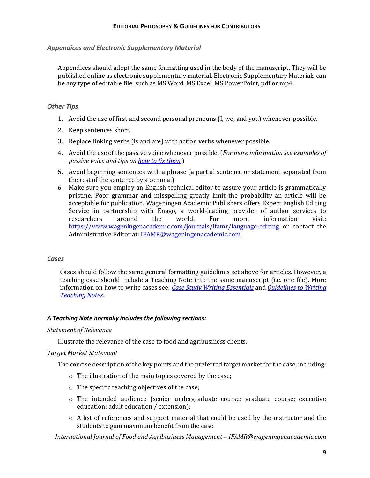#### *Appendices and Electronic Supplementary Material*

Appendices should adopt the same formatting used in the body of the manuscript. They will be published online as electronic supplementary material. Electronic Supplementary Materials can be any type of editable file, such as MS Word, MS Excel, MS PowerPoint, pdf or mp4.

#### *Other Tips*

- 1. Avoid the use of first and second personal pronouns (I, we, and you) whenever possible.
- 2. Keep sentences short.
- 3. Replace linking verbs (is and are) with action verbs whenever possible.
- 4. Avoid the use of the passive voice whenever possible. (*For more information see examples of passive voice and tips on [how to fix them.](http://www.dailywritingtips.com/7-examples-of-passive-voice/)*)
- 5. Avoid beginning sentences with a phrase (a partial sentence or statement separated from the rest of the sentence by a comma.)
- 6. Make sure you employ an English technical editor to assure your article is grammatically pristine. Poor grammar and misspelling greatly limit the probability an article will be acceptable for publication. Wageningen Academic Publishers offers Expert English Editing Service in partnership with Enago, a world-leading provider of author services to researchers around the world. For more information visit: <https://www.wageningenacademic.com/journals/ifamr/language-editing> or contact the Administrative Editor at: [IFAMR@wageningenacademic.com](mailto:IFAMR@wageningenacademic.com)

#### *Cases*

Cases should follow the same general formatting guidelines set above for articles. However, a teaching case should include a Teaching Note into the same manuscript (i.e. one file). More information on how to write cases see: *[Case Study Writing Essentials](https://ifama.org/resources/Documents/Case%20Writing%20Essentials.pdf)* and *[Guidelines to Writing](https://ifama.org/resources/Documents/GuidelinesTeachingNotes.pdf)  [Teaching Notes.](https://ifama.org/resources/Documents/GuidelinesTeachingNotes.pdf)*

#### *A Teaching Note normally includes the following sections:*

#### *Statement of Relevance*

Illustrate the relevance of the case to food and agribusiness clients.

#### *Target Market Statement*

The concise description of the key points and the preferred target market for the case, including:

- o The illustration of the main topics covered by the case;
- o The specific teaching objectives of the case;
- o The intended audience (senior undergraduate course; graduate course; executive education; adult education / extension);
- o A list of references and support material that could be used by the instructor and the students to gain maximum benefit from the case.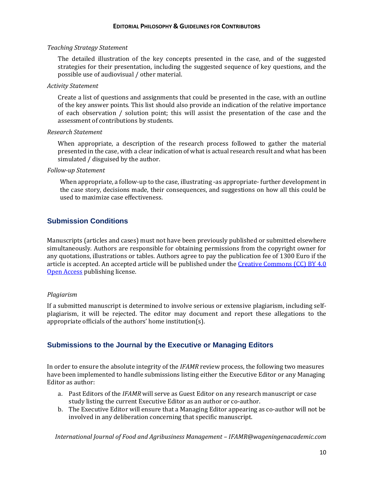#### *Teaching Strategy Statement*

The detailed illustration of the key concepts presented in the case, and of the suggested strategies for their presentation, including the suggested sequence of key questions, and the possible use of audiovisual / other material.

#### *Activity Statement*

Create a list of questions and assignments that could be presented in the case, with an outline of the key answer points. This list should also provide an indication of the relative importance of each observation / solution point; this will assist the presentation of the case and the assessment of contributions by students.

#### *Research Statement*

When appropriate, a description of the research process followed to gather the material presented in the case, with a clear indication of what is actual research result and what has been simulated / disguised by the author.

#### *Follow-up Statement*

When appropriate, a follow-up to the case, illustrating -as appropriate- further development in the case story, decisions made, their consequences, and suggestions on how all this could be used to maximize case effectiveness.

# **Submission Conditions**

Manuscripts (articles and cases) must not have been previously published or submitted elsewhere simultaneously. Authors are responsible for obtaining permissions from the copyright owner for any quotations, illustrations or tables. Authors agree to pay the publication fee of 1300 Euro if the article is accepted. An accepted article will be published under the [Creative Commons \(CC\) BY 4.0](https://creativecommons.org/licenses/by/4.0/)  [Open Access](https://creativecommons.org/licenses/by/4.0/) publishing license.

#### *Plagiarism*

If a submitted manuscript is determined to involve serious or extensive plagiarism, including selfplagiarism, it will be rejected. The editor may document and report these allegations to the appropriate officials of the authors' home institution(s).

# **Submissions to the Journal by the Executive or Managing Editors**

In order to ensure the absolute integrity of the *IFAMR* review process, the following two measures have been implemented to handle submissions listing either the Executive Editor or any Managing Editor as author:

- a. Past Editors of the *IFAMR* will serve as Guest Editor on any research manuscript or case study listing the current Executive Editor as an author or co-author.
- b. The Executive Editor will ensure that a Managing Editor appearing as co-author will not be involved in any deliberation concerning that specific manuscript.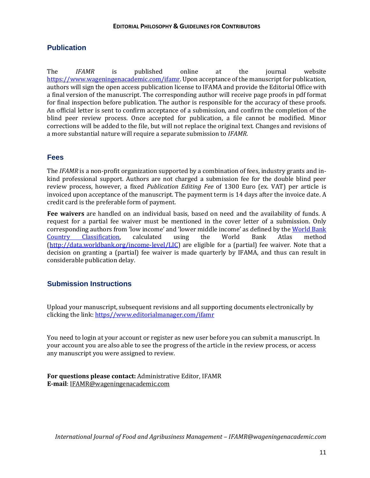# **Publication**

The *IFAMR* is published online at the journal website [https://www.wageningenacademic.com/ifamr.](https://www.wageningenacademic.com/ifamr) Upon acceptance of the manuscript for publication, authors will sign the open access publication license to IFAMA and provide the Editorial Office with a final version of the manuscript. The corresponding author will receive page proofs in pdf format for final inspection before publication. The author is responsible for the accuracy of these proofs. An official letter is sent to confirm acceptance of a submission, and confirm the completion of the blind peer review process. Once accepted for publication, a file cannot be modified. Minor corrections will be added to the file, but will not replace the original text. Changes and revisions of a more substantial nature will require a separate submission to *IFAMR*.

## **Fees**

The *IFAMR* is a non-profit organization supported by a combination of fees, industry grants and inkind professional support. Authors are not charged a submission fee for the double blind peer review process, however, a fixed *Publication Editing Fee* of 1300 Euro (ex. VAT) per article is invoiced upon acceptance of the manuscript. The payment term is 14 days after the invoice date. A credit card is the preferable form of payment.

**Fee waivers** are handled on an individual basis, based on need and the availability of funds. A request for a partial fee waiver must be mentioned in the cover letter of a submission. Only corresponding authors from 'low income' and 'lower middle income' as defined by the World Bank [Country Classification,](http://data.worldbank.org/country) calculated using the World Bank Atlas method [\(http://data.worldbank.org/income-level/LIC\)](http://data.worldbank.org/income-level/LIC) are eligible for a (partial) fee waiver. Note that a decision on granting a (partial) fee waiver is made quarterly by IFAMA, and thus can result in considerable publication delay.

# **Submission Instructions**

Upload your manuscript, subsequent revisions and all supporting documents electronically by clicking the link: [https//www.editorialmanager.com/ifamr](file://///wap-dc/wap/Docu/redactie/JOURNALS/IFAMR/IFAMR%20Algemeen/Guidelines,%20forms%20and%20agreements/https/www.editorialmanager.com/ifamr)

You need to login at your account or register as new user before you can submit a manuscript. In your account you are also able to see the progress of the article in the review process, or access any manuscript you were assigned to review.

**For questions please contact:** Administrative Editor, IFAMR **E-mail**: [IFAMR@wageningenacademic.com](mailto:ifamr@ifama.org)